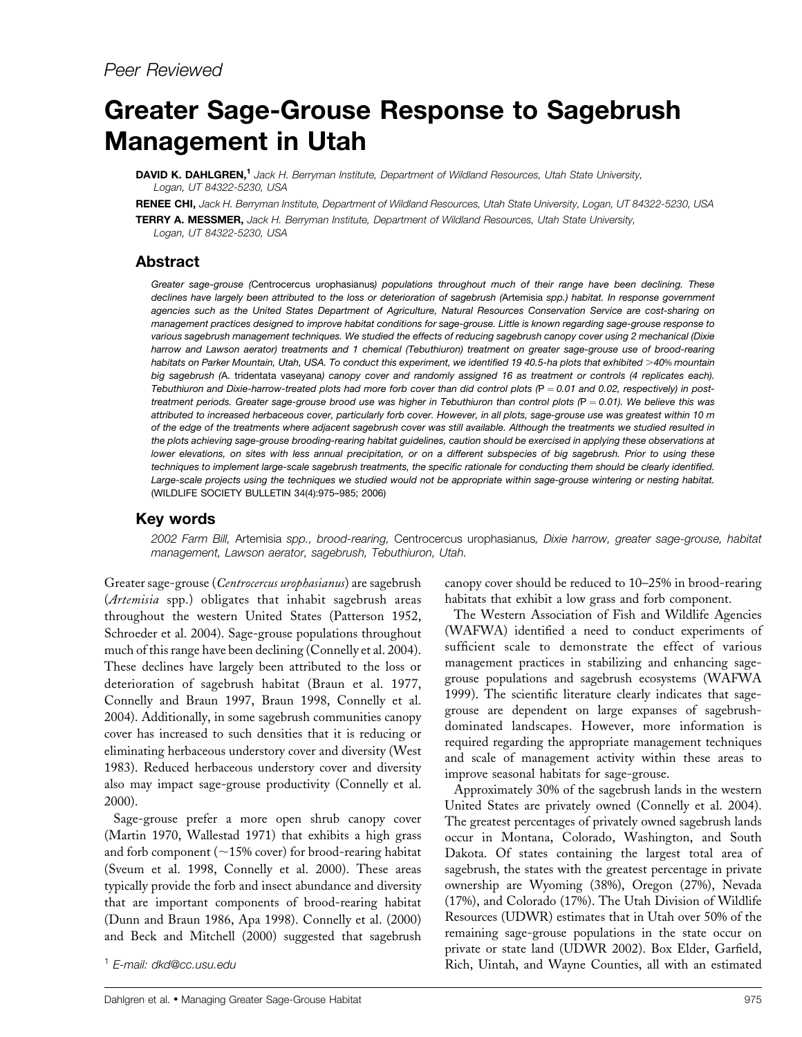# Greater Sage-Grouse Response to Sagebrush Management in Utah

DAVID K. DAHLGREN,<sup>1</sup> Jack H. Berryman Institute, Department of Wildland Resources, Utah State University, Logan, UT 84322-5230, USA

RENEE CHI, Jack H. Berryman Institute, Department of Wildland Resources, Utah State University, Logan, UT 84322-5230, USA

TERRY A. MESSMER, Jack H. Berryman Institute, Department of Wildland Resources, Utah State University, Logan, UT 84322-5230, USA

# Abstract

*Greater sage-grouse (*Centrocercus urophasianus*) populations throughout much of their range have been declining. These declines have largely been attributed to the loss or deterioration of sagebrush (*Artemisia *spp.) habitat. In response government agencies such as the United States Department of Agriculture, Natural Resources Conservation Service are cost-sharing on management practices designed to improve habitat conditions for sage-grouse. Little is known regarding sage-grouse response to various sagebrush management techniques. We studied the effects of reducing sagebrush canopy cover using 2 mechanical (Dixie harrow and Lawson aerator) treatments and 1 chemical (Tebuthiuron) treatment on greater sage-grouse use of brood-rearing habitats on Parker Mountain, Utah, USA. To conduct this experiment, we identified 19 40.5-ha plots that exhibited* .*40*% *mountain big sagebrush (*A. tridentata vaseyana*) canopy cover and randomly assigned 16 as treatment or controls (4 replicates each).* Tebuthiuron and Dixie-harrow-treated plots had more forb cover than did control plots (P = 0.01 and 0.02, respectively) in post*treatment periods. Greater sage-grouse brood use was higher in Tebuthiuron than control plots (P = 0.01). We believe this was attributed to increased herbaceous cover, particularly forb cover. However, in all plots, sage-grouse use was greatest within 10 m of the edge of the treatments where adjacent sagebrush cover was still available. Although the treatments we studied resulted in the plots achieving sage-grouse brooding-rearing habitat guidelines, caution should be exercised in applying these observations at lower elevations, on sites with less annual precipitation, or on a different subspecies of big sagebrush. Prior to using these techniques to implement large-scale sagebrush treatments, the specific rationale for conducting them should be clearly identified. Large-scale projects using the techniques we studied would not be appropriate within sage-grouse wintering or nesting habitat.* (WILDLIFE SOCIETY BULLETIN 34(4):975–985; 2006)

# Key words

2002 Farm Bill, Artemisia spp., brood-rearing, Centrocercus urophasianus, Dixie harrow, greater sage-grouse, habitat management, Lawson aerator, sagebrush, Tebuthiuron, Utah.

Greater sage-grouse (Centrocercus urophasianus) are sagebrush (Artemisia spp.) obligates that inhabit sagebrush areas throughout the western United States (Patterson 1952, Schroeder et al. 2004). Sage-grouse populations throughout much of this range have been declining (Connelly et al. 2004). These declines have largely been attributed to the loss or deterioration of sagebrush habitat (Braun et al. 1977, Connelly and Braun 1997, Braun 1998, Connelly et al. 2004). Additionally, in some sagebrush communities canopy cover has increased to such densities that it is reducing or eliminating herbaceous understory cover and diversity (West 1983). Reduced herbaceous understory cover and diversity also may impact sage-grouse productivity (Connelly et al. 2000).

Sage-grouse prefer a more open shrub canopy cover (Martin 1970, Wallestad 1971) that exhibits a high grass and forb component ( $\sim$ 15% cover) for brood-rearing habitat (Sveum et al. 1998, Connelly et al. 2000). These areas typically provide the forb and insect abundance and diversity that are important components of brood-rearing habitat (Dunn and Braun 1986, Apa 1998). Connelly et al. (2000) and Beck and Mitchell (2000) suggested that sagebrush

canopy cover should be reduced to 10–25% in brood-rearing habitats that exhibit a low grass and forb component.

The Western Association of Fish and Wildlife Agencies (WAFWA) identified a need to conduct experiments of sufficient scale to demonstrate the effect of various management practices in stabilizing and enhancing sagegrouse populations and sagebrush ecosystems (WAFWA 1999). The scientific literature clearly indicates that sagegrouse are dependent on large expanses of sagebrushdominated landscapes. However, more information is required regarding the appropriate management techniques and scale of management activity within these areas to improve seasonal habitats for sage-grouse.

Approximately 30% of the sagebrush lands in the western United States are privately owned (Connelly et al. 2004). The greatest percentages of privately owned sagebrush lands occur in Montana, Colorado, Washington, and South Dakota. Of states containing the largest total area of sagebrush, the states with the greatest percentage in private ownership are Wyoming (38%), Oregon (27%), Nevada (17%), and Colorado (17%). The Utah Division of Wildlife Resources (UDWR) estimates that in Utah over 50% of the remaining sage-grouse populations in the state occur on private or state land (UDWR 2002). Box Elder, Garfield, Rich, Uintah, and Wayne Counties, all with an estimated <sup>1</sup> E-mail: dkd@cc.usu.edu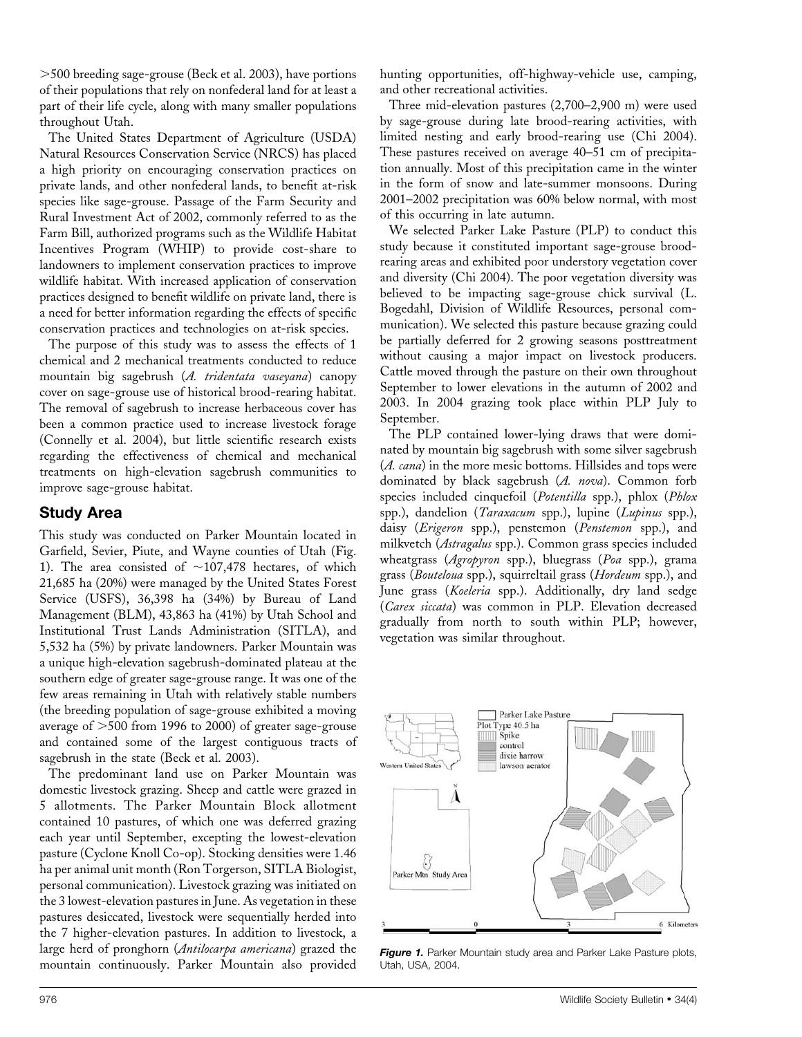.500 breeding sage-grouse (Beck et al. 2003), have portions of their populations that rely on nonfederal land for at least a part of their life cycle, along with many smaller populations throughout Utah.

The United States Department of Agriculture (USDA) Natural Resources Conservation Service (NRCS) has placed a high priority on encouraging conservation practices on private lands, and other nonfederal lands, to benefit at-risk species like sage-grouse. Passage of the Farm Security and Rural Investment Act of 2002, commonly referred to as the Farm Bill, authorized programs such as the Wildlife Habitat Incentives Program (WHIP) to provide cost-share to landowners to implement conservation practices to improve wildlife habitat. With increased application of conservation practices designed to benefit wildlife on private land, there is a need for better information regarding the effects of specific conservation practices and technologies on at-risk species.

The purpose of this study was to assess the effects of 1 chemical and 2 mechanical treatments conducted to reduce mountain big sagebrush (A. tridentata vaseyana) canopy cover on sage-grouse use of historical brood-rearing habitat. The removal of sagebrush to increase herbaceous cover has been a common practice used to increase livestock forage (Connelly et al. 2004), but little scientific research exists regarding the effectiveness of chemical and mechanical treatments on high-elevation sagebrush communities to improve sage-grouse habitat.

## Study Area

This study was conducted on Parker Mountain located in Garfield, Sevier, Piute, and Wayne counties of Utah (Fig. 1). The area consisted of  $\sim$ 107,478 hectares, of which 21,685 ha (20%) were managed by the United States Forest Service (USFS), 36,398 ha (34%) by Bureau of Land Management (BLM), 43,863 ha (41%) by Utah School and Institutional Trust Lands Administration (SITLA), and 5,532 ha (5%) by private landowners. Parker Mountain was a unique high-elevation sagebrush-dominated plateau at the southern edge of greater sage-grouse range. It was one of the few areas remaining in Utah with relatively stable numbers (the breeding population of sage-grouse exhibited a moving average of  $>500$  from 1996 to 2000) of greater sage-grouse and contained some of the largest contiguous tracts of sagebrush in the state (Beck et al. 2003).

The predominant land use on Parker Mountain was domestic livestock grazing. Sheep and cattle were grazed in 5 allotments. The Parker Mountain Block allotment contained 10 pastures, of which one was deferred grazing each year until September, excepting the lowest-elevation pasture (Cyclone Knoll Co-op). Stocking densities were 1.46 ha per animal unit month (Ron Torgerson, SITLA Biologist, personal communication). Livestock grazing was initiated on the 3 lowest-elevation pastures in June. As vegetation in these pastures desiccated, livestock were sequentially herded into the 7 higher-elevation pastures. In addition to livestock, a large herd of pronghorn (Antilocarpa americana) grazed the mountain continuously. Parker Mountain also provided hunting opportunities, off-highway-vehicle use, camping, and other recreational activities.

Three mid-elevation pastures (2,700–2,900 m) were used by sage-grouse during late brood-rearing activities, with limited nesting and early brood-rearing use (Chi 2004). These pastures received on average 40–51 cm of precipitation annually. Most of this precipitation came in the winter in the form of snow and late-summer monsoons. During 2001–2002 precipitation was 60% below normal, with most of this occurring in late autumn.

We selected Parker Lake Pasture (PLP) to conduct this study because it constituted important sage-grouse broodrearing areas and exhibited poor understory vegetation cover and diversity (Chi 2004). The poor vegetation diversity was believed to be impacting sage-grouse chick survival (L. Bogedahl, Division of Wildlife Resources, personal communication). We selected this pasture because grazing could be partially deferred for 2 growing seasons posttreatment without causing a major impact on livestock producers. Cattle moved through the pasture on their own throughout September to lower elevations in the autumn of 2002 and 2003. In 2004 grazing took place within PLP July to September.

The PLP contained lower-lying draws that were dominated by mountain big sagebrush with some silver sagebrush (A. cana) in the more mesic bottoms. Hillsides and tops were dominated by black sagebrush  $(A. nova)$ . Common forb species included cinquefoil (Potentilla spp.), phlox (Phlox spp.), dandelion (Taraxacum spp.), lupine (Lupinus spp.), daisy (Erigeron spp.), penstemon (Penstemon spp.), and milkvetch (Astragalus spp.). Common grass species included wheatgrass (Agropyron spp.), bluegrass (Poa spp.), grama grass (Bouteloua spp.), squirreltail grass (Hordeum spp.), and June grass (Koeleria spp.). Additionally, dry land sedge (Carex siccata) was common in PLP. Elevation decreased gradually from north to south within PLP; however, vegetation was similar throughout.



Figure 1. Parker Mountain study area and Parker Lake Pasture plots, Utah, USA, 2004.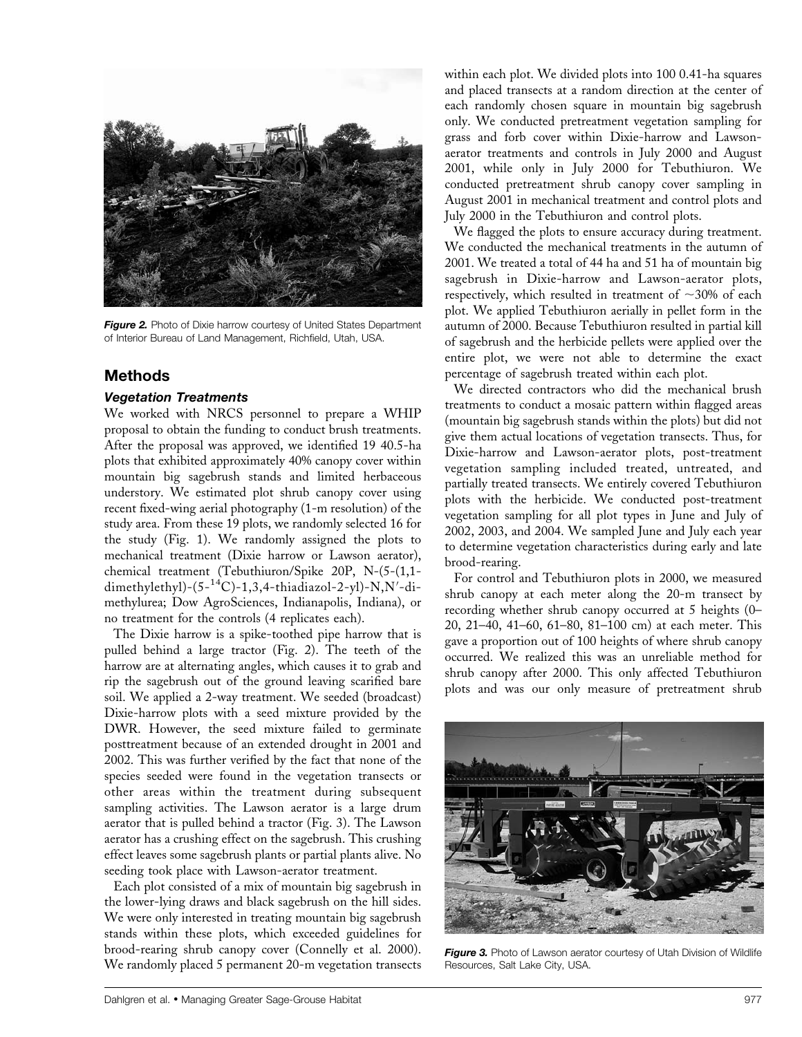

Figure 2. Photo of Dixie harrow courtesy of United States Department of Interior Bureau of Land Management, Richfield, Utah, USA.

## Methods

### Vegetation Treatments

We worked with NRCS personnel to prepare a WHIP proposal to obtain the funding to conduct brush treatments. After the proposal was approved, we identified 19 40.5-ha plots that exhibited approximately 40% canopy cover within mountain big sagebrush stands and limited herbaceous understory. We estimated plot shrub canopy cover using recent fixed-wing aerial photography (1-m resolution) of the study area. From these 19 plots, we randomly selected 16 for the study (Fig. 1). We randomly assigned the plots to mechanical treatment (Dixie harrow or Lawson aerator), chemical treatment (Tebuthiuron/Spike 20P, N-(5-(1,1 dimethylethyl)-(5-<sup>14</sup>C)-1,3,4-thiadiazol-2-yl)-N,N'-dimethylurea; Dow AgroSciences, Indianapolis, Indiana), or no treatment for the controls (4 replicates each).

The Dixie harrow is a spike-toothed pipe harrow that is pulled behind a large tractor (Fig. 2). The teeth of the harrow are at alternating angles, which causes it to grab and rip the sagebrush out of the ground leaving scarified bare soil. We applied a 2-way treatment. We seeded (broadcast) Dixie-harrow plots with a seed mixture provided by the DWR. However, the seed mixture failed to germinate posttreatment because of an extended drought in 2001 and 2002. This was further verified by the fact that none of the species seeded were found in the vegetation transects or other areas within the treatment during subsequent sampling activities. The Lawson aerator is a large drum aerator that is pulled behind a tractor (Fig. 3). The Lawson aerator has a crushing effect on the sagebrush. This crushing effect leaves some sagebrush plants or partial plants alive. No seeding took place with Lawson-aerator treatment.

Each plot consisted of a mix of mountain big sagebrush in the lower-lying draws and black sagebrush on the hill sides. We were only interested in treating mountain big sagebrush stands within these plots, which exceeded guidelines for brood-rearing shrub canopy cover (Connelly et al. 2000). We randomly placed 5 permanent 20-m vegetation transects

within each plot. We divided plots into 100 0.41-ha squares and placed transects at a random direction at the center of each randomly chosen square in mountain big sagebrush only. We conducted pretreatment vegetation sampling for grass and forb cover within Dixie-harrow and Lawsonaerator treatments and controls in July 2000 and August 2001, while only in July 2000 for Tebuthiuron. We conducted pretreatment shrub canopy cover sampling in August 2001 in mechanical treatment and control plots and July 2000 in the Tebuthiuron and control plots.

We flagged the plots to ensure accuracy during treatment. We conducted the mechanical treatments in the autumn of 2001. We treated a total of 44 ha and 51 ha of mountain big sagebrush in Dixie-harrow and Lawson-aerator plots, respectively, which resulted in treatment of  $\sim$ 30% of each plot. We applied Tebuthiuron aerially in pellet form in the autumn of 2000. Because Tebuthiuron resulted in partial kill of sagebrush and the herbicide pellets were applied over the entire plot, we were not able to determine the exact percentage of sagebrush treated within each plot.

We directed contractors who did the mechanical brush treatments to conduct a mosaic pattern within flagged areas (mountain big sagebrush stands within the plots) but did not give them actual locations of vegetation transects. Thus, for Dixie-harrow and Lawson-aerator plots, post-treatment vegetation sampling included treated, untreated, and partially treated transects. We entirely covered Tebuthiuron plots with the herbicide. We conducted post-treatment vegetation sampling for all plot types in June and July of 2002, 2003, and 2004. We sampled June and July each year to determine vegetation characteristics during early and late brood-rearing.

For control and Tebuthiuron plots in 2000, we measured shrub canopy at each meter along the 20-m transect by recording whether shrub canopy occurred at 5 heights (0– 20, 21–40, 41–60, 61–80, 81–100 cm) at each meter. This gave a proportion out of 100 heights of where shrub canopy occurred. We realized this was an unreliable method for shrub canopy after 2000. This only affected Tebuthiuron plots and was our only measure of pretreatment shrub



Figure 3. Photo of Lawson aerator courtesy of Utah Division of Wildlife Resources, Salt Lake City, USA.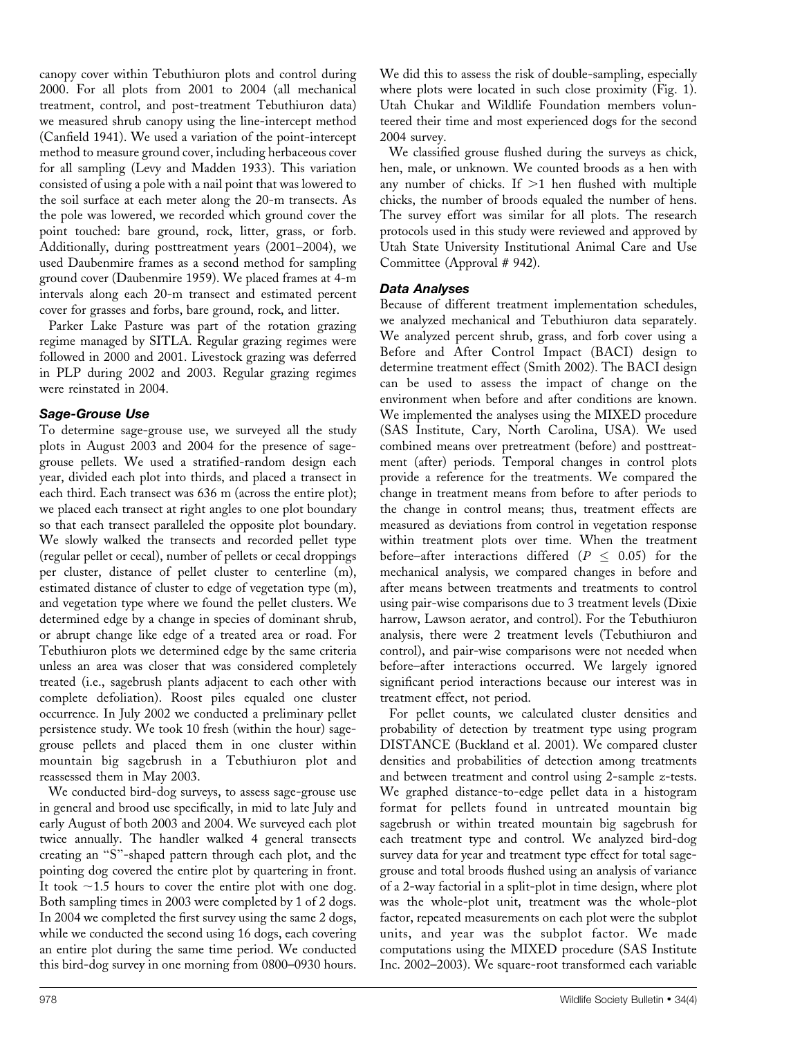canopy cover within Tebuthiuron plots and control during 2000. For all plots from 2001 to 2004 (all mechanical treatment, control, and post-treatment Tebuthiuron data) we measured shrub canopy using the line-intercept method (Canfield 1941). We used a variation of the point-intercept method to measure ground cover, including herbaceous cover for all sampling (Levy and Madden 1933). This variation consisted of using a pole with a nail point that was lowered to the soil surface at each meter along the 20-m transects. As the pole was lowered, we recorded which ground cover the point touched: bare ground, rock, litter, grass, or forb. Additionally, during posttreatment years (2001–2004), we used Daubenmire frames as a second method for sampling ground cover (Daubenmire 1959). We placed frames at 4-m intervals along each 20-m transect and estimated percent cover for grasses and forbs, bare ground, rock, and litter.

Parker Lake Pasture was part of the rotation grazing regime managed by SITLA. Regular grazing regimes were followed in 2000 and 2001. Livestock grazing was deferred in PLP during 2002 and 2003. Regular grazing regimes were reinstated in 2004.

## Sage-Grouse Use

To determine sage-grouse use, we surveyed all the study plots in August 2003 and 2004 for the presence of sagegrouse pellets. We used a stratified-random design each year, divided each plot into thirds, and placed a transect in each third. Each transect was 636 m (across the entire plot); we placed each transect at right angles to one plot boundary so that each transect paralleled the opposite plot boundary. We slowly walked the transects and recorded pellet type (regular pellet or cecal), number of pellets or cecal droppings per cluster, distance of pellet cluster to centerline (m), estimated distance of cluster to edge of vegetation type (m), and vegetation type where we found the pellet clusters. We determined edge by a change in species of dominant shrub, or abrupt change like edge of a treated area or road. For Tebuthiuron plots we determined edge by the same criteria unless an area was closer that was considered completely treated (i.e., sagebrush plants adjacent to each other with complete defoliation). Roost piles equaled one cluster occurrence. In July 2002 we conducted a preliminary pellet persistence study. We took 10 fresh (within the hour) sagegrouse pellets and placed them in one cluster within mountain big sagebrush in a Tebuthiuron plot and reassessed them in May 2003.

We conducted bird-dog surveys, to assess sage-grouse use in general and brood use specifically, in mid to late July and early August of both 2003 and 2004. We surveyed each plot twice annually. The handler walked 4 general transects creating an ''S''-shaped pattern through each plot, and the pointing dog covered the entire plot by quartering in front. It took  $\sim$ 1.5 hours to cover the entire plot with one dog. Both sampling times in 2003 were completed by 1 of 2 dogs. In 2004 we completed the first survey using the same 2 dogs, while we conducted the second using 16 dogs, each covering an entire plot during the same time period. We conducted this bird-dog survey in one morning from 0800–0930 hours. We did this to assess the risk of double-sampling, especially where plots were located in such close proximity (Fig. 1). Utah Chukar and Wildlife Foundation members volunteered their time and most experienced dogs for the second 2004 survey.

We classified grouse flushed during the surveys as chick, hen, male, or unknown. We counted broods as a hen with any number of chicks. If  $>1$  hen flushed with multiple chicks, the number of broods equaled the number of hens. The survey effort was similar for all plots. The research protocols used in this study were reviewed and approved by Utah State University Institutional Animal Care and Use Committee (Approval # 942).

## Data Analyses

Because of different treatment implementation schedules, we analyzed mechanical and Tebuthiuron data separately. We analyzed percent shrub, grass, and forb cover using a Before and After Control Impact (BACI) design to determine treatment effect (Smith 2002). The BACI design can be used to assess the impact of change on the environment when before and after conditions are known. We implemented the analyses using the MIXED procedure (SAS Institute, Cary, North Carolina, USA). We used combined means over pretreatment (before) and posttreatment (after) periods. Temporal changes in control plots provide a reference for the treatments. We compared the change in treatment means from before to after periods to the change in control means; thus, treatment effects are measured as deviations from control in vegetation response within treatment plots over time. When the treatment before–after interactions differed  $(P \leq 0.05)$  for the mechanical analysis, we compared changes in before and after means between treatments and treatments to control using pair-wise comparisons due to 3 treatment levels (Dixie harrow, Lawson aerator, and control). For the Tebuthiuron analysis, there were 2 treatment levels (Tebuthiuron and control), and pair-wise comparisons were not needed when before–after interactions occurred. We largely ignored significant period interactions because our interest was in treatment effect, not period.

For pellet counts, we calculated cluster densities and probability of detection by treatment type using program DISTANCE (Buckland et al. 2001). We compared cluster densities and probabilities of detection among treatments and between treatment and control using 2-sample z-tests. We graphed distance-to-edge pellet data in a histogram format for pellets found in untreated mountain big sagebrush or within treated mountain big sagebrush for each treatment type and control. We analyzed bird-dog survey data for year and treatment type effect for total sagegrouse and total broods flushed using an analysis of variance of a 2-way factorial in a split-plot in time design, where plot was the whole-plot unit, treatment was the whole-plot factor, repeated measurements on each plot were the subplot units, and year was the subplot factor. We made computations using the MIXED procedure (SAS Institute Inc. 2002–2003). We square-root transformed each variable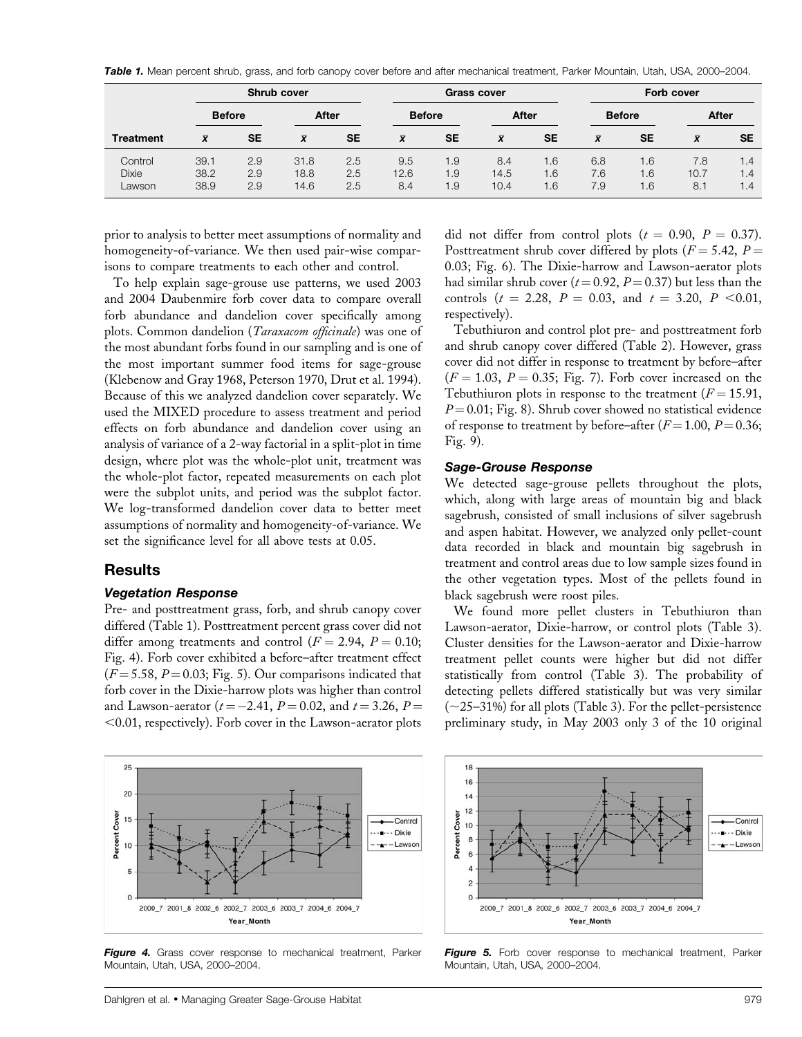Table 1. Mean percent shrub, grass, and forb canopy cover before and after mechanical treatment, Parker Mountain, Utah, USA, 2000-2004.

|                                   |                      | Shrub cover       |                      |                   | <b>Grass cover</b> |                   |                     |                   | <b>Forb cover</b> |                              |                    |                   |  |
|-----------------------------------|----------------------|-------------------|----------------------|-------------------|--------------------|-------------------|---------------------|-------------------|-------------------|------------------------------|--------------------|-------------------|--|
|                                   |                      | <b>Before</b>     |                      | After             |                    | <b>Before</b>     |                     | After             |                   | <b>Before</b>                |                    | After             |  |
| <b>Treatment</b>                  | $\bar{x}$            | <b>SE</b>         | $\bar{x}$            | <b>SE</b>         | $\bar{x}$          | <b>SE</b>         | $\bar{x}$           | SE                | $\bar{x}$         | <b>SE</b>                    | $\bar{x}$          | <b>SE</b>         |  |
| Control<br><b>Dixie</b><br>Lawson | 39.1<br>38.2<br>38.9 | 2.9<br>2.9<br>2.9 | 31.8<br>18.8<br>14.6 | 2.5<br>2.5<br>2.5 | 9.5<br>12.6<br>8.4 | 1.9<br>1.9<br>1.9 | 8.4<br>14.5<br>10.4 | 1.6<br>1.6<br>1.6 | 6.8<br>7.6<br>7.9 | 1.6<br>$\overline{6}$<br>6.1 | 7.8<br>10.7<br>8.1 | 1.4<br>1.4<br>1.4 |  |

prior to analysis to better meet assumptions of normality and homogeneity-of-variance. We then used pair-wise comparisons to compare treatments to each other and control.

To help explain sage-grouse use patterns, we used 2003 and 2004 Daubenmire forb cover data to compare overall forb abundance and dandelion cover specifically among plots. Common dandelion (Taraxacom officinale) was one of the most abundant forbs found in our sampling and is one of the most important summer food items for sage-grouse (Klebenow and Gray 1968, Peterson 1970, Drut et al. 1994). Because of this we analyzed dandelion cover separately. We used the MIXED procedure to assess treatment and period effects on forb abundance and dandelion cover using an analysis of variance of a 2-way factorial in a split-plot in time design, where plot was the whole-plot unit, treatment was the whole-plot factor, repeated measurements on each plot were the subplot units, and period was the subplot factor. We log-transformed dandelion cover data to better meet assumptions of normality and homogeneity-of-variance. We set the significance level for all above tests at 0.05.

## Results

#### Vegetation Response

Pre- and posttreatment grass, forb, and shrub canopy cover differed (Table 1). Posttreatment percent grass cover did not differ among treatments and control ( $F = 2.94$ ,  $P = 0.10$ ; Fig. 4). Forb cover exhibited a before–after treatment effect  $(F = 5.58, P = 0.03; Fig. 5)$ . Our comparisons indicated that forb cover in the Dixie-harrow plots was higher than control and Lawson-aerator ( $t = -2.41$ ,  $P = 0.02$ , and  $t = 3.26$ ,  $P =$  $<$ 0.01, respectively). Forb cover in the Lawson-aerator plots



Figure 4. Grass cover response to mechanical treatment, Parker Mountain, Utah, USA, 2000–2004.

did not differ from control plots ( $t = 0.90$ ,  $P = 0.37$ ). Posttreatment shrub cover differed by plots ( $F = 5.42$ ,  $P =$ 0.03; Fig. 6). The Dixie-harrow and Lawson-aerator plots had similar shrub cover ( $t = 0.92$ ,  $P = 0.37$ ) but less than the controls ( $t = 2.28$ ,  $P = 0.03$ , and  $t = 3.20$ ,  $P < 0.01$ , respectively).

Tebuthiuron and control plot pre- and posttreatment forb and shrub canopy cover differed (Table 2). However, grass cover did not differ in response to treatment by before–after  $(F = 1.03, P = 0.35; Fig. 7)$ . Forb cover increased on the Tebuthiuron plots in response to the treatment  $(F = 15.91,$  $P = 0.01$ ; Fig. 8). Shrub cover showed no statistical evidence of response to treatment by before–after ( $F = 1.00$ ,  $P = 0.36$ ; Fig. 9).

## Sage-Grouse Response

We detected sage-grouse pellets throughout the plots, which, along with large areas of mountain big and black sagebrush, consisted of small inclusions of silver sagebrush and aspen habitat. However, we analyzed only pellet-count data recorded in black and mountain big sagebrush in treatment and control areas due to low sample sizes found in the other vegetation types. Most of the pellets found in black sagebrush were roost piles.

We found more pellet clusters in Tebuthiuron than Lawson-aerator, Dixie-harrow, or control plots (Table 3). Cluster densities for the Lawson-aerator and Dixie-harrow treatment pellet counts were higher but did not differ statistically from control (Table 3). The probability of detecting pellets differed statistically but was very similar  $(\sim 25-31\%)$  for all plots (Table 3). For the pellet-persistence preliminary study, in May 2003 only 3 of the 10 original



Figure 5. Forb cover response to mechanical treatment, Parker Mountain, Utah, USA, 2000–2004.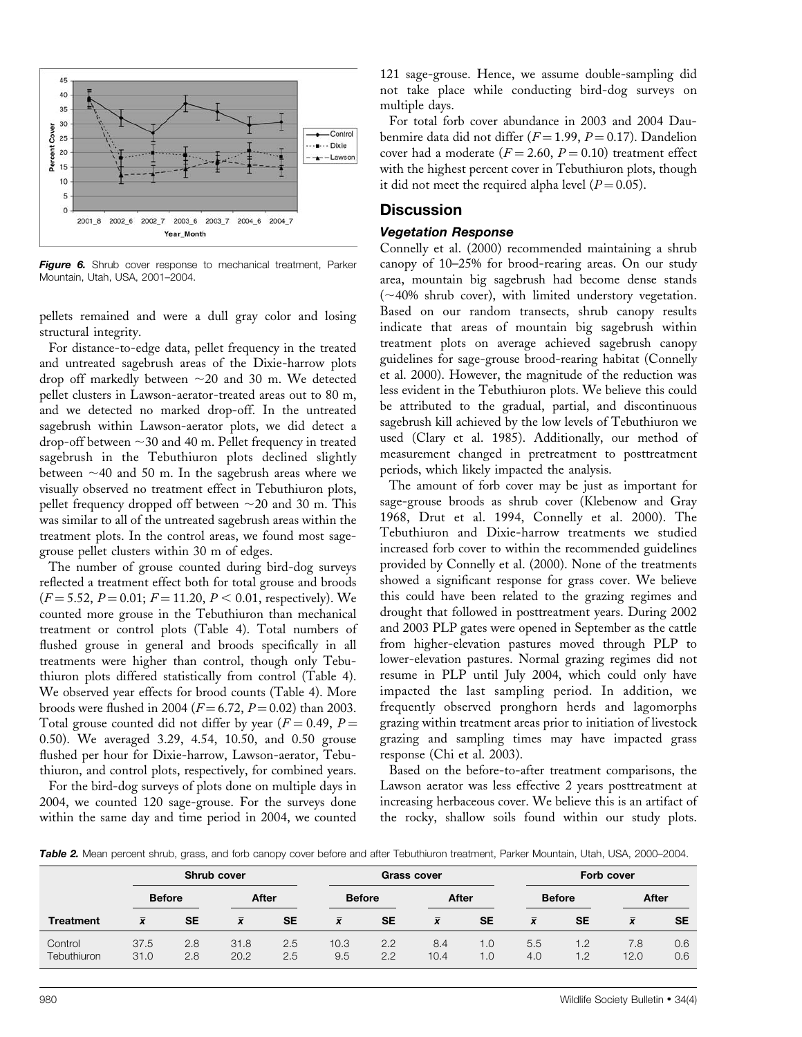

Figure 6. Shrub cover response to mechanical treatment, Parker Mountain, Utah, USA, 2001–2004.

pellets remained and were a dull gray color and losing structural integrity.

For distance-to-edge data, pellet frequency in the treated and untreated sagebrush areas of the Dixie-harrow plots drop off markedly between  $\sim$  20 and 30 m. We detected pellet clusters in Lawson-aerator-treated areas out to 80 m, and we detected no marked drop-off. In the untreated sagebrush within Lawson-aerator plots, we did detect a drop-off between  $\sim$ 30 and 40 m. Pellet frequency in treated sagebrush in the Tebuthiuron plots declined slightly between  $\sim$ 40 and 50 m. In the sagebrush areas where we visually observed no treatment effect in Tebuthiuron plots, pellet frequency dropped off between  $\sim$ 20 and 30 m. This was similar to all of the untreated sagebrush areas within the treatment plots. In the control areas, we found most sagegrouse pellet clusters within 30 m of edges.

The number of grouse counted during bird-dog surveys reflected a treatment effect both for total grouse and broods  $(F = 5.52, P = 0.01; F = 11.20, P < 0.01$ , respectively). We counted more grouse in the Tebuthiuron than mechanical treatment or control plots (Table 4). Total numbers of flushed grouse in general and broods specifically in all treatments were higher than control, though only Tebuthiuron plots differed statistically from control (Table 4). We observed year effects for brood counts (Table 4). More broods were flushed in 2004 ( $F = 6.72$ ,  $P = 0.02$ ) than 2003. Total grouse counted did not differ by year ( $F = 0.49$ ,  $P =$ 0.50). We averaged 3.29, 4.54, 10.50, and 0.50 grouse flushed per hour for Dixie-harrow, Lawson-aerator, Tebuthiuron, and control plots, respectively, for combined years.

For the bird-dog surveys of plots done on multiple days in 2004, we counted 120 sage-grouse. For the surveys done within the same day and time period in 2004, we counted 121 sage-grouse. Hence, we assume double-sampling did not take place while conducting bird-dog surveys on multiple days.

For total forb cover abundance in 2003 and 2004 Daubenmire data did not differ ( $F = 1.99$ ,  $P = 0.17$ ). Dandelion cover had a moderate ( $F = 2.60$ ,  $P = 0.10$ ) treatment effect with the highest percent cover in Tebuthiuron plots, though it did not meet the required alpha level  $(P = 0.05)$ .

## **Discussion**

#### Vegetation Response

Connelly et al. (2000) recommended maintaining a shrub canopy of 10–25% for brood-rearing areas. On our study area, mountain big sagebrush had become dense stands  $(\sim 40\%$  shrub cover), with limited understory vegetation. Based on our random transects, shrub canopy results indicate that areas of mountain big sagebrush within treatment plots on average achieved sagebrush canopy guidelines for sage-grouse brood-rearing habitat (Connelly et al. 2000). However, the magnitude of the reduction was less evident in the Tebuthiuron plots. We believe this could be attributed to the gradual, partial, and discontinuous sagebrush kill achieved by the low levels of Tebuthiuron we used (Clary et al. 1985). Additionally, our method of measurement changed in pretreatment to posttreatment periods, which likely impacted the analysis.

The amount of forb cover may be just as important for sage-grouse broods as shrub cover (Klebenow and Gray 1968, Drut et al. 1994, Connelly et al. 2000). The Tebuthiuron and Dixie-harrow treatments we studied increased forb cover to within the recommended guidelines provided by Connelly et al. (2000). None of the treatments showed a significant response for grass cover. We believe this could have been related to the grazing regimes and drought that followed in posttreatment years. During 2002 and 2003 PLP gates were opened in September as the cattle from higher-elevation pastures moved through PLP to lower-elevation pastures. Normal grazing regimes did not resume in PLP until July 2004, which could only have impacted the last sampling period. In addition, we frequently observed pronghorn herds and lagomorphs grazing within treatment areas prior to initiation of livestock grazing and sampling times may have impacted grass response (Chi et al. 2003).

Based on the before-to-after treatment comparisons, the Lawson aerator was less effective 2 years posttreatment at increasing herbaceous cover. We believe this is an artifact of the rocky, shallow soils found within our study plots.

Table 2. Mean percent shrub, grass, and forb canopy cover before and after Tebuthiuron treatment, Parker Mountain, Utah, USA, 2000-2004.

|                        | <b>Shrub cover</b> |            |              |            |               | <b>Grass cover</b> |             |                         |               | <b>Forb cover</b> |             |            |  |
|------------------------|--------------------|------------|--------------|------------|---------------|--------------------|-------------|-------------------------|---------------|-------------------|-------------|------------|--|
| <b>Before</b>          |                    | After      |              |            | <b>Before</b> |                    | After       |                         | <b>Before</b> |                   | After       |            |  |
| <b>Treatment</b>       | $\bar{x}$          | <b>SE</b>  | $\bar{x}$    | <b>SE</b>  | $\bar{x}$     | <b>SE</b>          | $\bar{x}$   | <b>SE</b>               | $\bar{x}$     | <b>SE</b>         | $\bar{x}$   | <b>SE</b>  |  |
| Control<br>Tebuthiuron | 37.5<br>31.0       | 2.8<br>2.8 | 31.8<br>20.2 | 2.5<br>2.5 | 10.3<br>9.5   | 2.2<br>2.2         | 8.4<br>10.4 | I.O<br>$\overline{0}$ . | 5.5<br>4.0    | .2<br>.2          | 7.8<br>12.0 | 0.6<br>0.6 |  |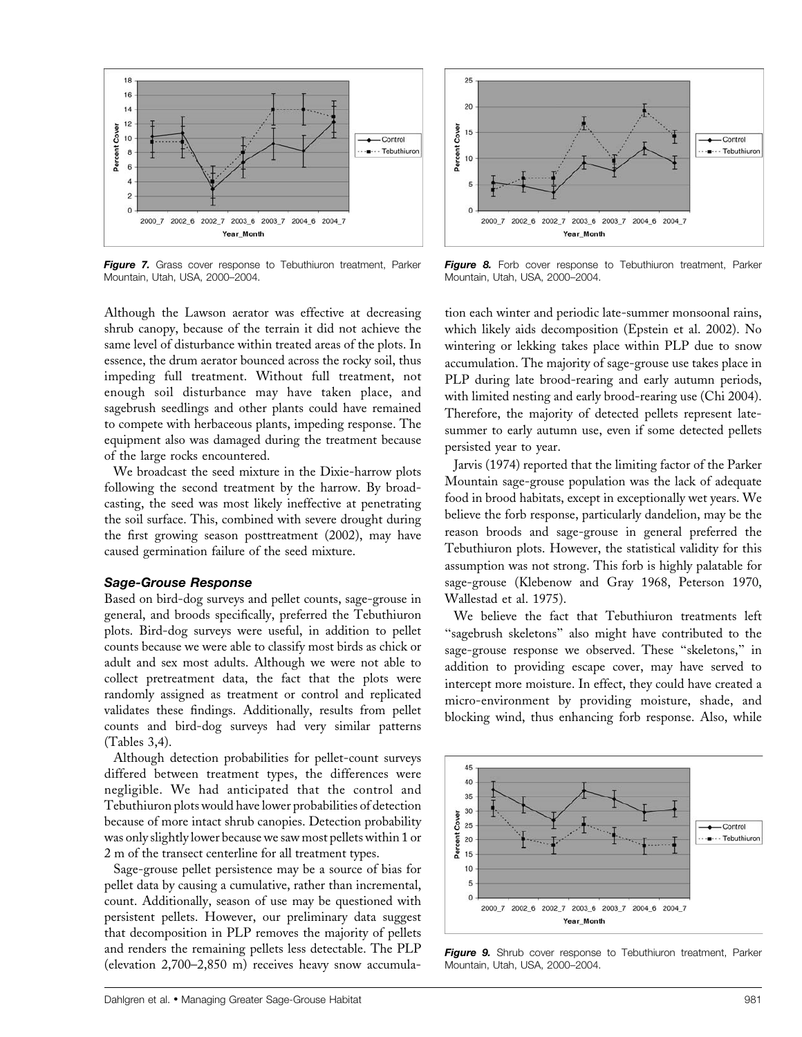

Figure 7. Grass cover response to Tebuthiuron treatment, Parker Mountain, Utah, USA, 2000–2004.



Figure 8. Forb cover response to Tebuthiuron treatment, Parker Mountain, Utah, USA, 2000–2004.

Although the Lawson aerator was effective at decreasing shrub canopy, because of the terrain it did not achieve the same level of disturbance within treated areas of the plots. In essence, the drum aerator bounced across the rocky soil, thus impeding full treatment. Without full treatment, not enough soil disturbance may have taken place, and sagebrush seedlings and other plants could have remained to compete with herbaceous plants, impeding response. The equipment also was damaged during the treatment because of the large rocks encountered.

We broadcast the seed mixture in the Dixie-harrow plots following the second treatment by the harrow. By broadcasting, the seed was most likely ineffective at penetrating the soil surface. This, combined with severe drought during the first growing season posttreatment (2002), may have caused germination failure of the seed mixture.

#### Sage-Grouse Response

Based on bird-dog surveys and pellet counts, sage-grouse in general, and broods specifically, preferred the Tebuthiuron plots. Bird-dog surveys were useful, in addition to pellet counts because we were able to classify most birds as chick or adult and sex most adults. Although we were not able to collect pretreatment data, the fact that the plots were randomly assigned as treatment or control and replicated validates these findings. Additionally, results from pellet counts and bird-dog surveys had very similar patterns (Tables 3,4).

Although detection probabilities for pellet-count surveys differed between treatment types, the differences were negligible. We had anticipated that the control and Tebuthiuron plots would have lower probabilities of detection because of more intact shrub canopies. Detection probability was only slightly lower because we saw most pellets within 1 or 2 m of the transect centerline for all treatment types.

Sage-grouse pellet persistence may be a source of bias for pellet data by causing a cumulative, rather than incremental, count. Additionally, season of use may be questioned with persistent pellets. However, our preliminary data suggest that decomposition in PLP removes the majority of pellets and renders the remaining pellets less detectable. The PLP (elevation 2,700–2,850 m) receives heavy snow accumula-

tion each winter and periodic late-summer monsoonal rains, which likely aids decomposition (Epstein et al. 2002). No wintering or lekking takes place within PLP due to snow accumulation. The majority of sage-grouse use takes place in PLP during late brood-rearing and early autumn periods, with limited nesting and early brood-rearing use (Chi 2004). Therefore, the majority of detected pellets represent latesummer to early autumn use, even if some detected pellets persisted year to year.

Jarvis (1974) reported that the limiting factor of the Parker Mountain sage-grouse population was the lack of adequate food in brood habitats, except in exceptionally wet years. We believe the forb response, particularly dandelion, may be the reason broods and sage-grouse in general preferred the Tebuthiuron plots. However, the statistical validity for this assumption was not strong. This forb is highly palatable for sage-grouse (Klebenow and Gray 1968, Peterson 1970, Wallestad et al. 1975).

We believe the fact that Tebuthiuron treatments left ''sagebrush skeletons'' also might have contributed to the sage-grouse response we observed. These ''skeletons,'' in addition to providing escape cover, may have served to intercept more moisture. In effect, they could have created a micro-environment by providing moisture, shade, and blocking wind, thus enhancing forb response. Also, while



Figure 9. Shrub cover response to Tebuthiuron treatment, Parker Mountain, Utah, USA, 2000–2004.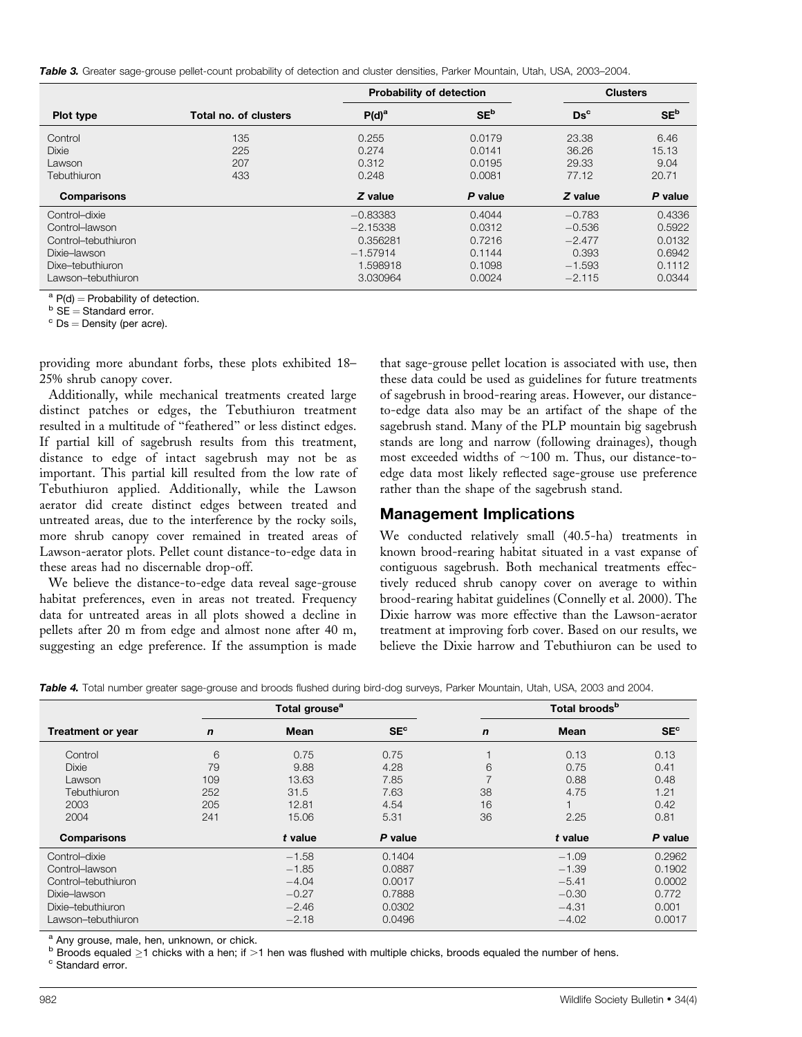Table 3. Greater sage-grouse pellet-count probability of detection and cluster densities, Parker Mountain, Utah, USA, 2003-2004.

|                     |                       | <b>Probability of detection</b> |                 |                 | <b>Clusters</b> |
|---------------------|-----------------------|---------------------------------|-----------------|-----------------|-----------------|
| Plot type           | Total no. of clusters | $P(d)^a$                        | SE <sup>b</sup> | $\mathbf{Ds}^c$ | SE <sup>b</sup> |
| Control             | 135                   | 0.255                           | 0.0179          | 23.38           | 6.46            |
| <b>Dixie</b>        | 225                   | 0.274                           | 0.0141          | 36.26           | 15.13           |
| Lawson              | 207                   | 0.312                           | 0.0195          | 29.33           | 9.04            |
| Tebuthiuron         | 433                   | 0.248                           | 0.0081          | 77.12           | 20.71           |
| <b>Comparisons</b>  |                       | Z value                         | P value         | Z value         | P value         |
| Control-dixie       |                       | $-0.83383$                      | 0.4044          | $-0.783$        | 0.4336          |
| Control-lawson      |                       | $-2.15338$                      | 0.0312          | $-0.536$        | 0.5922          |
| Control-tebuthiuron |                       | 0.356281                        | 0.7216          | $-2.477$        | 0.0132          |
| Dixie-lawson        |                       | $-1.57914$                      | 0.1144          | 0.393           | 0.6942          |
| Dixe-tebuthiuron    |                       | 1.598918                        | 0.1098          | $-1.593$        | 0.1112          |
| Lawson–tebuthiuron  |                       | 3.030964                        | 0.0024          | $-2.115$        | 0.0344          |

<sup>a</sup> P(d) = Probability of detection.<br><sup>b</sup> SE = Standard error.<br><sup>c</sup> Ds = Density (per acre).

providing more abundant forbs, these plots exhibited 18– 25% shrub canopy cover.

Additionally, while mechanical treatments created large distinct patches or edges, the Tebuthiuron treatment resulted in a multitude of ''feathered'' or less distinct edges. If partial kill of sagebrush results from this treatment, distance to edge of intact sagebrush may not be as important. This partial kill resulted from the low rate of Tebuthiuron applied. Additionally, while the Lawson aerator did create distinct edges between treated and untreated areas, due to the interference by the rocky soils, more shrub canopy cover remained in treated areas of Lawson-aerator plots. Pellet count distance-to-edge data in these areas had no discernable drop-off.

We believe the distance-to-edge data reveal sage-grouse habitat preferences, even in areas not treated. Frequency data for untreated areas in all plots showed a decline in pellets after 20 m from edge and almost none after 40 m, suggesting an edge preference. If the assumption is made that sage-grouse pellet location is associated with use, then these data could be used as guidelines for future treatments of sagebrush in brood-rearing areas. However, our distanceto-edge data also may be an artifact of the shape of the sagebrush stand. Many of the PLP mountain big sagebrush stands are long and narrow (following drainages), though most exceeded widths of  $\sim$ 100 m. Thus, our distance-toedge data most likely reflected sage-grouse use preference rather than the shape of the sagebrush stand.

## Management Implications

We conducted relatively small (40.5-ha) treatments in known brood-rearing habitat situated in a vast expanse of contiguous sagebrush. Both mechanical treatments effectively reduced shrub canopy cover on average to within brood-rearing habitat guidelines (Connelly et al. 2000). The Dixie harrow was more effective than the Lawson-aerator treatment at improving forb cover. Based on our results, we believe the Dixie harrow and Tebuthiuron can be used to

|  |  |  |  |  |  |  | Table 4. Total number greater sage-grouse and broods flushed during bird-dog surveys, Parker Mountain, Utah, USA, 2003 and 2004. |
|--|--|--|--|--|--|--|----------------------------------------------------------------------------------------------------------------------------------|
|--|--|--|--|--|--|--|----------------------------------------------------------------------------------------------------------------------------------|

|                          |             | Total grouse <sup>a</sup> |                 | Total broods <sup>b</sup> |             |                 |  |  |
|--------------------------|-------------|---------------------------|-----------------|---------------------------|-------------|-----------------|--|--|
| <b>Treatment or year</b> | $\mathbf n$ | <b>Mean</b>               | SE <sup>c</sup> | $\mathbf n$               | <b>Mean</b> | SE <sup>c</sup> |  |  |
| Control                  | 6           | 0.75                      | 0.75            |                           | 0.13        | 0.13            |  |  |
| <b>Dixie</b>             | 79          | 9.88                      | 4.28            | 6                         | 0.75        | 0.41            |  |  |
| Lawson                   | 109         | 13.63                     | 7.85            |                           | 0.88        | 0.48            |  |  |
| Tebuthiuron              | 252         | 31.5                      | 7.63            | 38                        | 4.75        | 1.21            |  |  |
| 2003                     | 205         | 12.81                     | 4.54            | 16                        |             | 0.42            |  |  |
| 2004                     | 241         | 15.06                     | 5.31            | 36                        | 2.25        | 0.81            |  |  |
| <b>Comparisons</b>       |             | t value                   | P value         |                           | t value     | P value         |  |  |
| Control-dixie            |             | $-1.58$                   | 0.1404          |                           | $-1.09$     | 0.2962          |  |  |
| Control-lawson           |             | $-1.85$                   | 0.0887          |                           | $-1.39$     | 0.1902          |  |  |
| Control-tebuthiuron      |             | $-4.04$                   | 0.0017          |                           | $-5.41$     | 0.0002          |  |  |
| Dixie-lawson             |             | $-0.27$                   | 0.7888          |                           | $-0.30$     | 0.772           |  |  |
| Dixie-tebuthiuron        |             | $-2.46$                   | 0.0302          |                           | $-4.31$     | 0.001           |  |  |
| Lawson–tebuthiuron       |             | $-2.18$                   | 0.0496          |                           | $-4.02$     | 0.0017          |  |  |

a Any grouse, male, hen, unknown, or chick.

b Broods equaled  $\geq$ 1 chicks with a hen; if  $>$ 1 hen was flushed with multiple chicks, broods equaled the number of hens. c Standard error.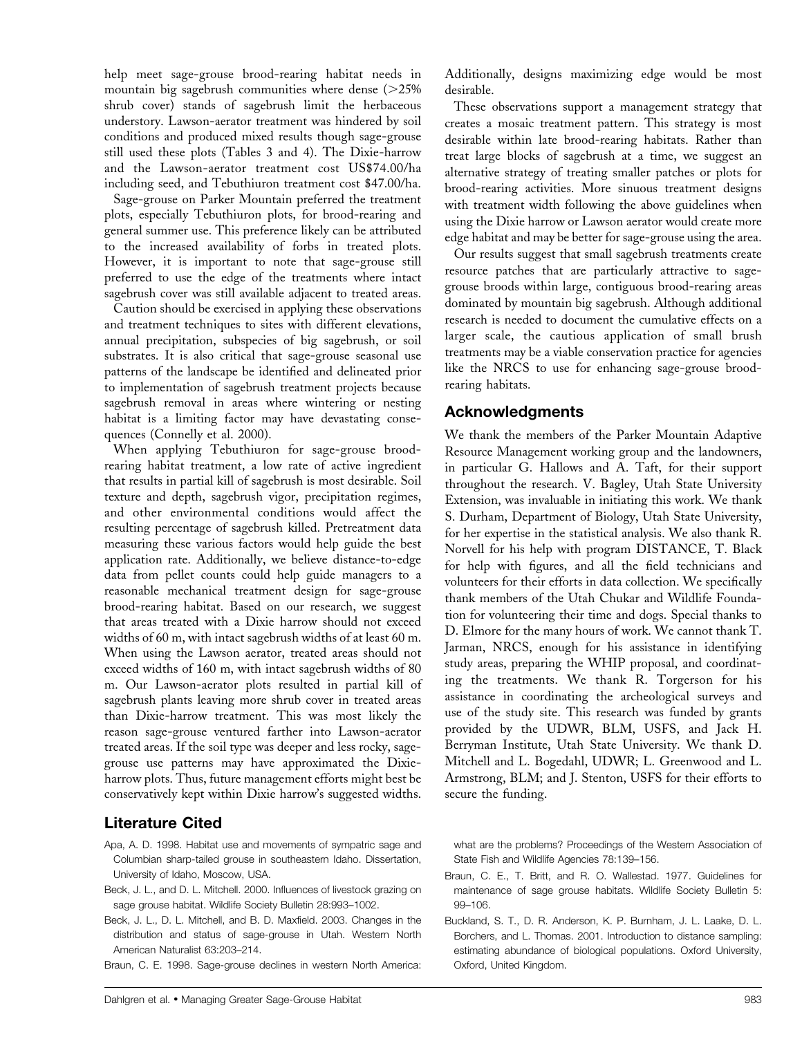help meet sage-grouse brood-rearing habitat needs in mountain big sagebrush communities where dense  $(>=25\%$ shrub cover) stands of sagebrush limit the herbaceous understory. Lawson-aerator treatment was hindered by soil conditions and produced mixed results though sage-grouse still used these plots (Tables 3 and 4). The Dixie-harrow and the Lawson-aerator treatment cost US\$74.00/ha including seed, and Tebuthiuron treatment cost \$47.00/ha.

Sage-grouse on Parker Mountain preferred the treatment plots, especially Tebuthiuron plots, for brood-rearing and general summer use. This preference likely can be attributed to the increased availability of forbs in treated plots. However, it is important to note that sage-grouse still preferred to use the edge of the treatments where intact sagebrush cover was still available adjacent to treated areas.

Caution should be exercised in applying these observations and treatment techniques to sites with different elevations, annual precipitation, subspecies of big sagebrush, or soil substrates. It is also critical that sage-grouse seasonal use patterns of the landscape be identified and delineated prior to implementation of sagebrush treatment projects because sagebrush removal in areas where wintering or nesting habitat is a limiting factor may have devastating consequences (Connelly et al. 2000).

When applying Tebuthiuron for sage-grouse broodrearing habitat treatment, a low rate of active ingredient that results in partial kill of sagebrush is most desirable. Soil texture and depth, sagebrush vigor, precipitation regimes, and other environmental conditions would affect the resulting percentage of sagebrush killed. Pretreatment data measuring these various factors would help guide the best application rate. Additionally, we believe distance-to-edge data from pellet counts could help guide managers to a reasonable mechanical treatment design for sage-grouse brood-rearing habitat. Based on our research, we suggest that areas treated with a Dixie harrow should not exceed widths of 60 m, with intact sagebrush widths of at least 60 m. When using the Lawson aerator, treated areas should not exceed widths of 160 m, with intact sagebrush widths of 80 m. Our Lawson-aerator plots resulted in partial kill of sagebrush plants leaving more shrub cover in treated areas than Dixie-harrow treatment. This was most likely the reason sage-grouse ventured farther into Lawson-aerator treated areas. If the soil type was deeper and less rocky, sagegrouse use patterns may have approximated the Dixieharrow plots. Thus, future management efforts might best be conservatively kept within Dixie harrow's suggested widths.

# Literature Cited

- Apa, A. D. 1998. Habitat use and movements of sympatric sage and Columbian sharp-tailed grouse in southeastern Idaho. Dissertation, University of Idaho, Moscow, USA.
- Beck, J. L., and D. L. Mitchell. 2000. Influences of livestock grazing on sage grouse habitat. Wildlife Society Bulletin 28:993–1002.
- Beck, J. L., D. L. Mitchell, and B. D. Maxfield. 2003. Changes in the distribution and status of sage-grouse in Utah. Western North American Naturalist 63:203–214.

Braun, C. E. 1998. Sage-grouse declines in western North America:

Additionally, designs maximizing edge would be most desirable.

These observations support a management strategy that creates a mosaic treatment pattern. This strategy is most desirable within late brood-rearing habitats. Rather than treat large blocks of sagebrush at a time, we suggest an alternative strategy of treating smaller patches or plots for brood-rearing activities. More sinuous treatment designs with treatment width following the above guidelines when using the Dixie harrow or Lawson aerator would create more edge habitat and may be better for sage-grouse using the area.

Our results suggest that small sagebrush treatments create resource patches that are particularly attractive to sagegrouse broods within large, contiguous brood-rearing areas dominated by mountain big sagebrush. Although additional research is needed to document the cumulative effects on a larger scale, the cautious application of small brush treatments may be a viable conservation practice for agencies like the NRCS to use for enhancing sage-grouse broodrearing habitats.

## Acknowledgments

We thank the members of the Parker Mountain Adaptive Resource Management working group and the landowners, in particular G. Hallows and A. Taft, for their support throughout the research. V. Bagley, Utah State University Extension, was invaluable in initiating this work. We thank S. Durham, Department of Biology, Utah State University, for her expertise in the statistical analysis. We also thank R. Norvell for his help with program DISTANCE, T. Black for help with figures, and all the field technicians and volunteers for their efforts in data collection. We specifically thank members of the Utah Chukar and Wildlife Foundation for volunteering their time and dogs. Special thanks to D. Elmore for the many hours of work. We cannot thank T. Jarman, NRCS, enough for his assistance in identifying study areas, preparing the WHIP proposal, and coordinating the treatments. We thank R. Torgerson for his assistance in coordinating the archeological surveys and use of the study site. This research was funded by grants provided by the UDWR, BLM, USFS, and Jack H. Berryman Institute, Utah State University. We thank D. Mitchell and L. Bogedahl, UDWR; L. Greenwood and L. Armstrong, BLM; and J. Stenton, USFS for their efforts to secure the funding.

what are the problems? Proceedings of the Western Association of State Fish and Wildlife Agencies 78:139–156.

- Braun, C. E., T. Britt, and R. O. Wallestad. 1977. Guidelines for maintenance of sage grouse habitats. Wildlife Society Bulletin 5: 99–106.
- Buckland, S. T., D. R. Anderson, K. P. Burnham, J. L. Laake, D. L. Borchers, and L. Thomas. 2001. Introduction to distance sampling: estimating abundance of biological populations. Oxford University, Oxford, United Kingdom.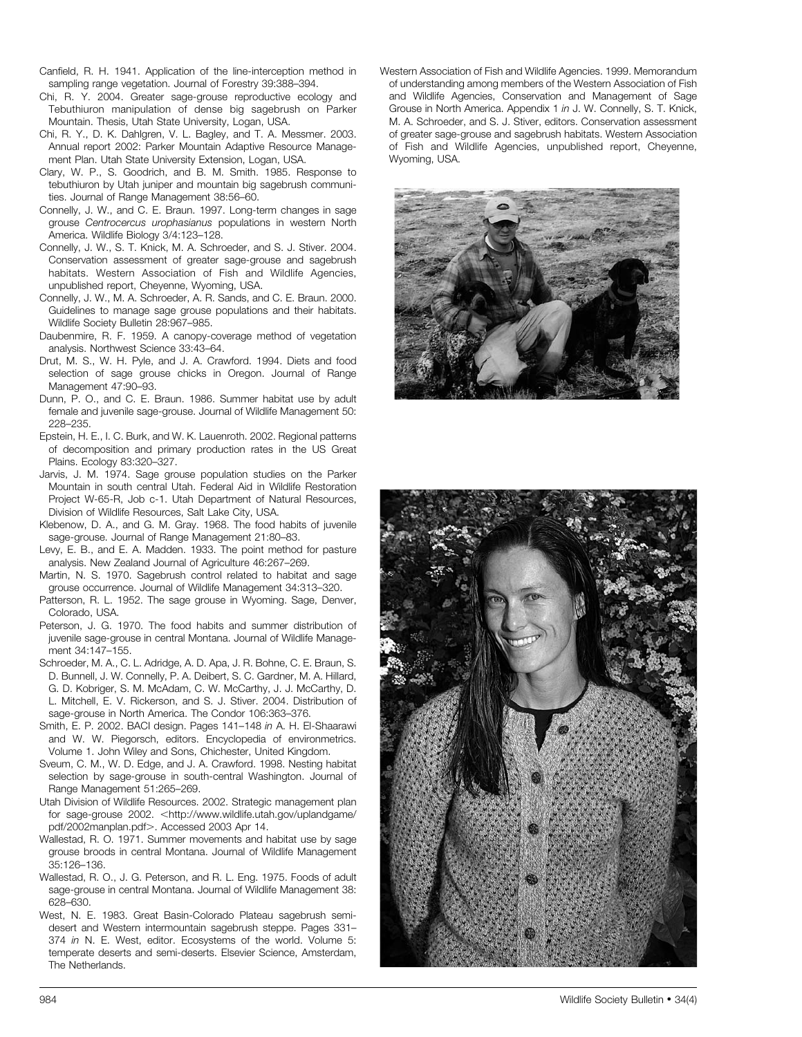- Canfield, R. H. 1941. Application of the line-interception method in sampling range vegetation. Journal of Forestry 39:388–394.
- Chi, R. Y. 2004. Greater sage-grouse reproductive ecology and Tebuthiuron manipulation of dense big sagebrush on Parker Mountain. Thesis, Utah State University, Logan, USA.
- Chi, R. Y., D. K. Dahlgren, V. L. Bagley, and T. A. Messmer. 2003. Annual report 2002: Parker Mountain Adaptive Resource Management Plan. Utah State University Extension, Logan, USA.
- Clary, W. P., S. Goodrich, and B. M. Smith. 1985. Response to tebuthiuron by Utah juniper and mountain big sagebrush communities. Journal of Range Management 38:56–60.
- Connelly, J. W., and C. E. Braun. 1997. Long-term changes in sage grouse Centrocercus urophasianus populations in western North America. Wildlife Biology 3/4:123–128.
- Connelly, J. W., S. T. Knick, M. A. Schroeder, and S. J. Stiver. 2004. Conservation assessment of greater sage-grouse and sagebrush habitats. Western Association of Fish and Wildlife Agencies, unpublished report, Cheyenne, Wyoming, USA.
- Connelly, J. W., M. A. Schroeder, A. R. Sands, and C. E. Braun. 2000. Guidelines to manage sage grouse populations and their habitats. Wildlife Society Bulletin 28:967–985.
- Daubenmire, R. F. 1959. A canopy-coverage method of vegetation analysis. Northwest Science 33:43–64.
- Drut, M. S., W. H. Pyle, and J. A. Crawford. 1994. Diets and food selection of sage grouse chicks in Oregon. Journal of Range Management 47:90–93.
- Dunn, P. O., and C. E. Braun. 1986. Summer habitat use by adult female and juvenile sage-grouse. Journal of Wildlife Management 50: 228–235.
- Epstein, H. E., I. C. Burk, and W. K. Lauenroth. 2002. Regional patterns of decomposition and primary production rates in the US Great Plains. Ecology 83:320–327.
- Jarvis, J. M. 1974. Sage grouse population studies on the Parker Mountain in south central Utah. Federal Aid in Wildlife Restoration Project W-65-R, Job c-1. Utah Department of Natural Resources, Division of Wildlife Resources, Salt Lake City, USA.
- Klebenow, D. A., and G. M. Gray. 1968. The food habits of juvenile sage-grouse. Journal of Range Management 21:80–83.
- Levy, E. B., and E. A. Madden. 1933. The point method for pasture analysis. New Zealand Journal of Agriculture 46:267–269.
- Martin, N. S. 1970. Sagebrush control related to habitat and sage grouse occurrence. Journal of Wildlife Management 34:313–320.
- Patterson, R. L. 1952. The sage grouse in Wyoming. Sage, Denver, Colorado, USA.
- Peterson, J. G. 1970. The food habits and summer distribution of juvenile sage-grouse in central Montana. Journal of Wildlife Management 34:147–155.
- Schroeder, M. A., C. L. Adridge, A. D. Apa, J. R. Bohne, C. E. Braun, S. D. Bunnell, J. W. Connelly, P. A. Deibert, S. C. Gardner, M. A. Hillard, G. D. Kobriger, S. M. McAdam, C. W. McCarthy, J. J. McCarthy, D. L. Mitchell, E. V. Rickerson, and S. J. Stiver. 2004. Distribution of sage-grouse in North America. The Condor 106:363–376.
- Smith, E. P. 2002. BACI design. Pages 141–148 in A. H. El-Shaarawi and W. W. Piegorsch, editors. Encyclopedia of environmetrics. Volume 1. John Wiley and Sons, Chichester, United Kingdom.
- Sveum, C. M., W. D. Edge, and J. A. Crawford. 1998. Nesting habitat selection by sage-grouse in south-central Washington. Journal of Range Management 51:265–269.
- Utah Division of Wildlife Resources. 2002. Strategic management plan for sage-grouse 2002. < http://www.wildlife.utah.gov/uplandgame/ pdf/2002manplan.pdf>. Accessed 2003 Apr 14.
- Wallestad, R. O. 1971. Summer movements and habitat use by sage grouse broods in central Montana. Journal of Wildlife Management 35:126–136.
- Wallestad, R. O., J. G. Peterson, and R. L. Eng. 1975. Foods of adult sage-grouse in central Montana. Journal of Wildlife Management 38: 628–630.
- West, N. E. 1983. Great Basin-Colorado Plateau sagebrush semidesert and Western intermountain sagebrush steppe. Pages 331– 374 in N. E. West, editor. Ecosystems of the world. Volume 5: temperate deserts and semi-deserts. Elsevier Science, Amsterdam, The Netherlands.

Western Association of Fish and Wildlife Agencies. 1999. Memorandum of understanding among members of the Western Association of Fish and Wildlife Agencies, Conservation and Management of Sage Grouse in North America. Appendix 1 in J. W. Connelly, S. T. Knick, M. A. Schroeder, and S. J. Stiver, editors. Conservation assessment of greater sage-grouse and sagebrush habitats. Western Association of Fish and Wildlife Agencies, unpublished report, Cheyenne, Wyoming, USA.